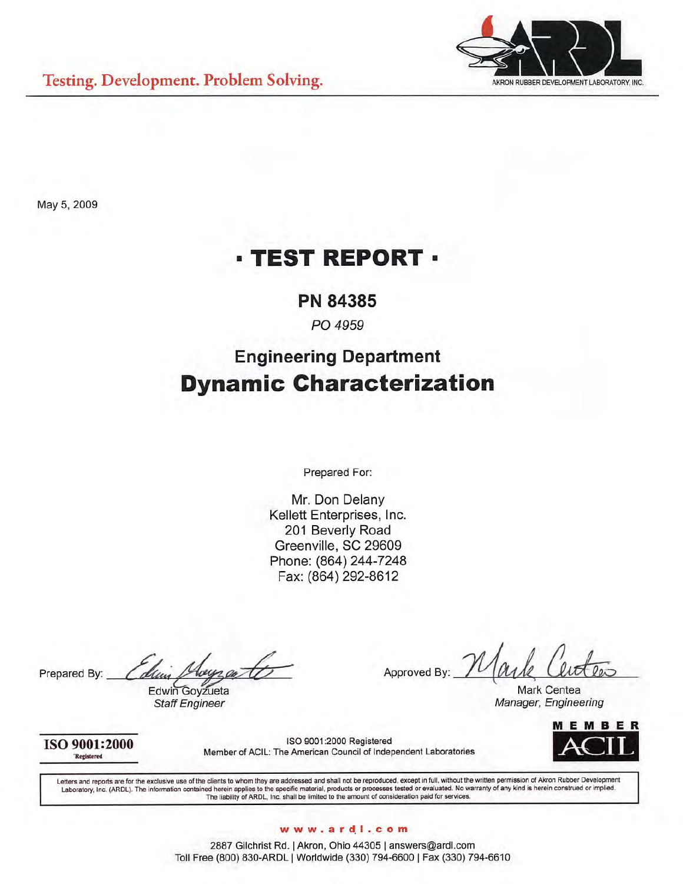

May 5, 2009

# **· TEST REPORT ·**

## **PN 84385**

PO 4959

# **Engineering Department Dynamic Characterization**

Prepared For:

Mr. Don Delany Kellett Enterprises, Inc. 201 Beverly Road Greenville, SC 29609 Phone: (864) 244-7248 Fax: (864) 292-8612

Prepared By:

Edwin Goyzueta **Staff Engineer** 

Approved By:

Mark Centea Manager, Engineering

EMBE

ISO 9001:2000 Registered

ISO 9001:2000 Registered Member of ACIL: The American Council of Independent Laboratories

Letters and reports are for the exclusive use of the clients to whom they are addressed and shall not be reproduced, except in full, without the written permission of Akron Rubber Development Laboratory, Inc. (ARDL). The information contained herein applies to the specific material, products or processes tested or evaluated. No warrior permosion or which is herein constructed or inplied.<br>Laboratory, Inc. (ARDL)

### www.ardl.com

2887 Gilchrist Rd. | Akron, Ohio 44305 | answers@ardl.com Toll Free (800) 830-ARDL | Worldwide (330) 794-6600 | Fax (330) 794-6610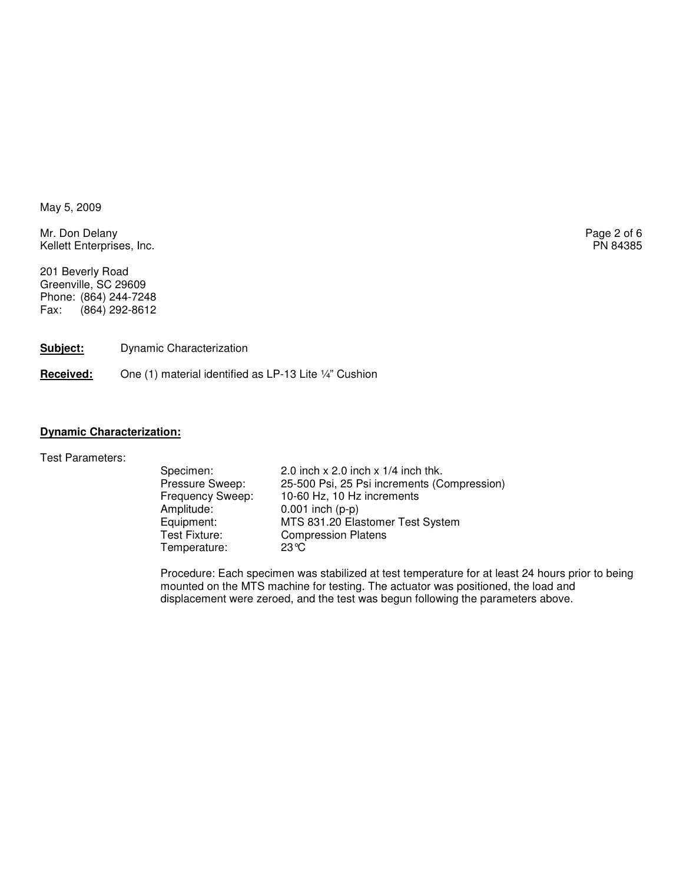May 5, 2009

Mr. Don Delany Page 2 of 6<br>
Mr. Don Delany Page 2 of 6<br>
Page 2 of 6 Kellett Enterprises, Inc.

201 Beverly Road Greenville, SC 29609 Phone: (864) 244-7248 Fax: (864) 292-8612

**Subject:** Dynamic Characterization

Received: One (1) material identified as LP-13 Lite 1/4" Cushion

#### **Dynamic Characterization:**

Test Parameters:

Specimen: 2.0 inch x 2.0 inch x 1/4 inch thk. Pressure Sweep: 25-500 Psi, 25 Psi increments (Compression)<br>Frequency Sweep: 10-60 Hz, 10 Hz increments Frequency Sweep: 10-60 Hz, 10 Hz increments<br>Amplitude: 0.001 inch (p-p) Amplitude: 0.001 inch (p-p)<br>Equipment: MTS 831.20 Ela Equipment: MTS 831.20 Elastomer Test System<br>
Test Fixture: Compression Platens Compression Platens<br> $23^{\circ}C$ Temperature:

Procedure: Each specimen was stabilized at test temperature for at least 24 hours prior to being mounted on the MTS machine for testing. The actuator was positioned, the load and displacement were zeroed, and the test was begun following the parameters above.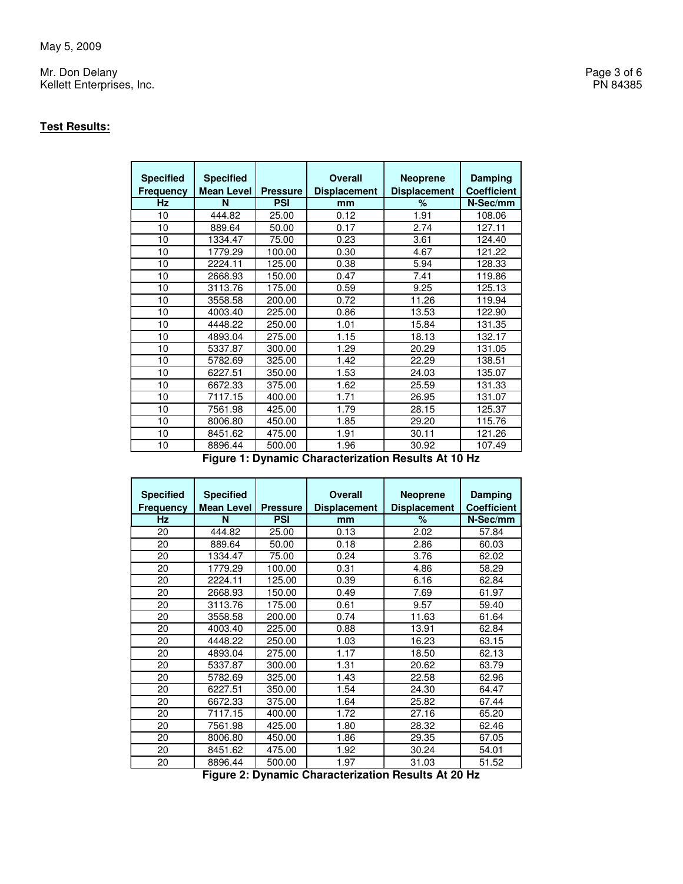Mr. Don Delany Page 3 of 6 Kellett Enterprises, Inc. PN 84385

### **Test Results:**

| <b>Specified</b><br><b>Frequency</b> | <b>Specified</b><br><b>Mean Level</b> | <b>Pressure</b> | <b>Overall</b><br><b>Displacement</b> | <b>Neoprene</b><br><b>Displacement</b> | <b>Damping</b><br><b>Coefficient</b> |
|--------------------------------------|---------------------------------------|-----------------|---------------------------------------|----------------------------------------|--------------------------------------|
| <b>Hz</b>                            | N                                     | <b>PSI</b>      | mm                                    | ℅                                      | N-Sec/mm                             |
| 10                                   | 444.82                                | 25.00           | 0.12                                  | 1.91                                   | 108.06                               |
| 10                                   | 889.64                                | 50.00           | 0.17                                  | 2.74                                   | 127.11                               |
| 10                                   | 1334.47                               | 75.00           | 0.23                                  | 3.61                                   | 124.40                               |
| 10                                   | 1779.29                               | 100.00          | 0.30                                  | 4.67                                   | 121.22                               |
| 10                                   | 2224.11                               | 125.00          | 0.38                                  | 5.94                                   | 128.33                               |
| 10                                   | 2668.93                               | 150.00          | 0.47                                  | 7.41                                   | 119.86                               |
| 10                                   | 3113.76                               | 175.00          | 0.59                                  | 9.25                                   | 125.13                               |
| 10                                   | 3558.58                               | 200.00          | 0.72                                  | 11.26                                  | 119.94                               |
| 10                                   | 4003.40                               | 225.00          | 0.86                                  | 13.53                                  | 122.90                               |
| 10                                   | 4448.22                               | 250.00          | 1.01                                  | 15.84                                  | 131.35                               |
| 10                                   | 4893.04                               | 275.00          | 1.15                                  | 18.13                                  | 132.17                               |
| 10                                   | 5337.87                               | 300.00          | 1.29                                  | 20.29                                  | 131.05                               |
| 10                                   | 5782.69                               | 325.00          | 1.42                                  | 22.29                                  | 138.51                               |
| 10                                   | 6227.51                               | 350.00          | 1.53                                  | 24.03                                  | 135.07                               |
| 10                                   | 6672.33                               | 375.00          | 1.62                                  | 25.59                                  | 131.33                               |
| 10                                   | 7117.15                               | 400.00          | 1.71                                  | 26.95                                  | 131.07                               |
| 10                                   | 7561.98                               | 425.00          | 1.79                                  | 28.15                                  | 125.37                               |
| 10                                   | 8006.80                               | 450.00          | 1.85                                  | 29.20                                  | 115.76                               |
| 10                                   | 8451.62                               | 475.00          | 1.91                                  | 30.11                                  | 121.26                               |
| 10                                   | 8896.44                               | 500.00          | 1.96                                  | 30.92                                  | 107.49                               |

**Figure 1: Dynamic Characterization Results At 10 Hz** 

| <b>Specified</b><br><b>Frequency</b> | <b>Specified</b><br><b>Mean Level</b> | <b>Pressure</b> | <b>Overall</b><br><b>Displacement</b> | <b>Neoprene</b><br><b>Displacement</b> | <b>Damping</b><br><b>Coefficient</b> |
|--------------------------------------|---------------------------------------|-----------------|---------------------------------------|----------------------------------------|--------------------------------------|
| Hz                                   | N                                     | <b>PSI</b>      | mm                                    | %                                      | N-Sec/mm                             |
| 20                                   | 444.82                                | 25.00           | 0.13                                  | 2.02                                   | 57.84                                |
| 20                                   | 889.64                                | 50.00           | 0.18                                  | 2.86                                   | 60.03                                |
| 20                                   | 1334.47                               | 75.00           | 0.24                                  | 3.76                                   | 62.02                                |
| 20                                   | 1779.29                               | 100.00          | 0.31                                  | 4.86                                   | 58.29                                |
| 20                                   | 2224.11                               | 125.00          | 0.39                                  | 6.16                                   | 62.84                                |
| 20                                   | 2668.93                               | 150.00          | 0.49                                  | 7.69                                   | 61.97                                |
| 20                                   | 3113.76                               | 175.00          | 0.61                                  | 9.57                                   | 59.40                                |
| 20                                   | 3558.58                               | 200.00          | 0.74                                  | 11.63                                  | 61.64                                |
| 20                                   | 4003.40                               | 225.00          | 0.88                                  | 13.91                                  | 62.84                                |
| 20                                   | 4448.22                               | 250.00          | 1.03                                  | 16.23                                  | 63.15                                |
| 20                                   | 4893.04                               | 275.00          | 1.17                                  | 18.50                                  | 62.13                                |
| 20                                   | 5337.87                               | 300.00          | 1.31                                  | 20.62                                  | 63.79                                |
| 20                                   | 5782.69                               | 325.00          | 1.43                                  | 22.58                                  | 62.96                                |
| 20                                   | 6227.51                               | 350.00          | 1.54                                  | 24.30                                  | 64.47                                |
| 20                                   | 6672.33                               | 375.00          | 1.64                                  | 25.82                                  | 67.44                                |
| 20                                   | 7117.15                               | 400.00          | 1.72                                  | 27.16                                  | 65.20                                |
| 20                                   | 7561.98                               | 425.00          | 1.80                                  | 28.32                                  | 62.46                                |
| 20                                   | 8006.80                               | 450.00          | 1.86                                  | 29.35                                  | 67.05                                |
| 20                                   | 8451.62                               | 475.00          | 1.92                                  | 30.24                                  | 54.01                                |
| 20                                   | 8896.44                               | 500.00          | 1.97                                  | 31.03                                  | 51.52                                |

**Figure 2: Dynamic Characterization Results At 20 Hz**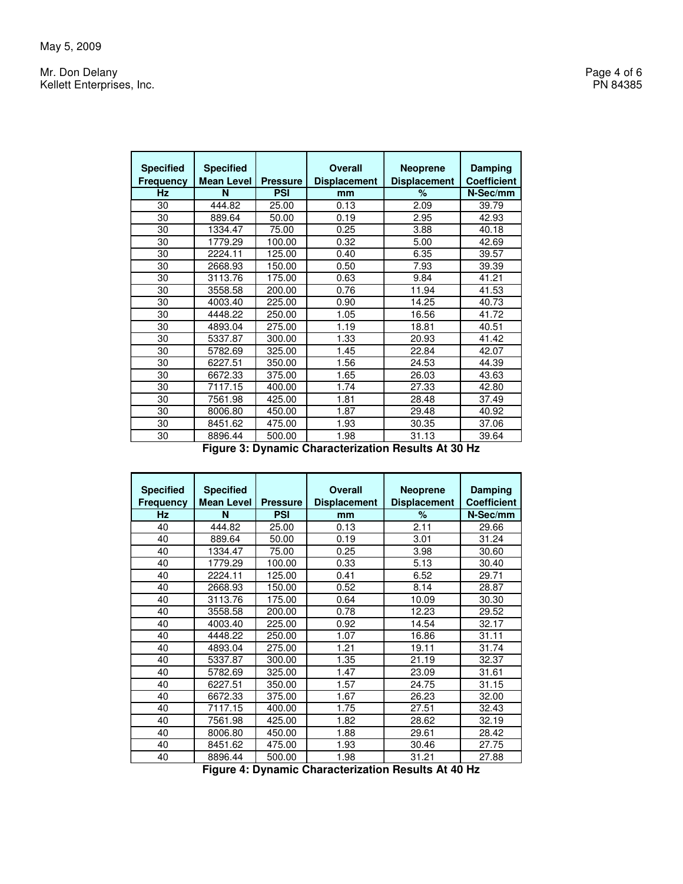Mr. Don Delany Page 4 of 6<br>
Mr. Don Delany Page 4 of 6<br>
Page 4 of 6 Kellett Enterprises, Inc.

> **Specified Frequency Specified Mean Level Pressure**<br>N<br>PSI **Overall Displacement Neoprene Displacement Damping Coefficient Hz PSI mm 1 % N-Sec/mm 444.82 25.00 0.13 2.09 39.79** 30 444.82 25.00 0.13 2.09 39.79 30 889.64 50.00 0.19 2.95 42.93 30 1334.47 75.00 0.25 3.88 40.18 30 1779.29 100.00 0.32 5.00 42.69 30 2224.11 125.00 0.40 6.35 39.57 30 2668.93 150.00 0.50 7.93 39.39 30 3113.76 175.00 0.63 9.84 41.21 30 3558.58 200.00 0.76 11.94 41.53 30 4003.40 225.00 0.90 14.25 40.73 30 4448.22 250.00 1.05 16.56 41.72 30 4893.04 275.00 1.19 18.81 30 5337.87 300.00 1.33 20.93 41.42 30 5782.69 325.00 1.45 22.84 42.07 30 6227.51 350.00 1.56 24.53 44.39 30 6672.33 375.00 1.65 26.03 43.63 30 7117.15 400.00 1.74 27.33 42.80 30 7561.98<br>30 8006.80 30 8006.80 450.00 1.87 29.48 40.92<br>30 8451.62 475.00 1.93 30.35 37.06 30 8451.62 475.00 1.93 30.35 37.06<br>30 8896.44 500.00 1.98 31.13 39.64 8896.44 500.00 1.98 31.13

> > **Figure 3: Dynamic Characterization Results At 30 Hz**

| <b>Specified</b><br><b>Frequency</b> | <b>Specified</b><br><b>Mean Level</b> | <b>Pressure</b> | <b>Overall</b><br><b>Displacement</b> | <b>Neoprene</b><br><b>Displacement</b> | Damping<br><b>Coefficient</b> |
|--------------------------------------|---------------------------------------|-----------------|---------------------------------------|----------------------------------------|-------------------------------|
| <b>Hz</b>                            | N                                     | <b>PSI</b>      | mm                                    | $\%$                                   | N-Sec/mm                      |
| 40                                   | 444.82                                | 25.00           | 0.13                                  | 2.11                                   | 29.66                         |
| 40                                   | 889.64                                | 50.00           | 0.19                                  | 3.01                                   | 31.24                         |
| 40                                   | 1334.47                               | 75.00           | 0.25                                  | 3.98                                   | 30.60                         |
| 40                                   | 1779.29                               | 100.00          | 0.33                                  | 5.13                                   | 30.40                         |
| 40                                   | 2224.11                               | 125.00          | 0.41                                  | 6.52                                   | 29.71                         |
| 40                                   | 2668.93                               | 150.00          | 0.52                                  | 8.14                                   | 28.87                         |
| 40                                   | 3113.76                               | 175.00          | 0.64                                  | 10.09                                  | 30.30                         |
| 40                                   | 3558.58                               | 200.00          | 0.78                                  | 12.23                                  | 29.52                         |
| 40                                   | 4003.40                               | 225.00          | 0.92                                  | 14.54                                  | 32.17                         |
| 40                                   | 4448.22                               | 250.00          | 1.07                                  | 16.86                                  | 31.11                         |
| 40                                   | 4893.04                               | 275.00          | 1.21                                  | 19.11                                  | 31.74                         |
| 40                                   | 5337.87                               | 300.00          | 1.35                                  | 21.19                                  | 32.37                         |
| 40                                   | 5782.69                               | 325.00          | 1.47                                  | 23.09                                  | 31.61                         |
| 40                                   | 6227.51                               | 350.00          | 1.57                                  | 24.75                                  | 31.15                         |
| 40                                   | 6672.33                               | 375.00          | 1.67                                  | 26.23                                  | 32.00                         |
| 40                                   | 7117.15                               | 400.00          | 1.75                                  | 27.51                                  | 32.43                         |
| 40                                   | 7561.98                               | 425.00          | 1.82                                  | 28.62                                  | 32.19                         |
| 40                                   | 8006.80                               | 450.00          | 1.88                                  | 29.61                                  | 28.42                         |
| 40                                   | 8451.62                               | 475.00          | 1.93                                  | 30.46                                  | 27.75                         |
| 40                                   | 8896.44                               | 500.00          | 1.98                                  | 31.21                                  | 27.88                         |

**Figure 4: Dynamic Characterization Results At 40 Hz**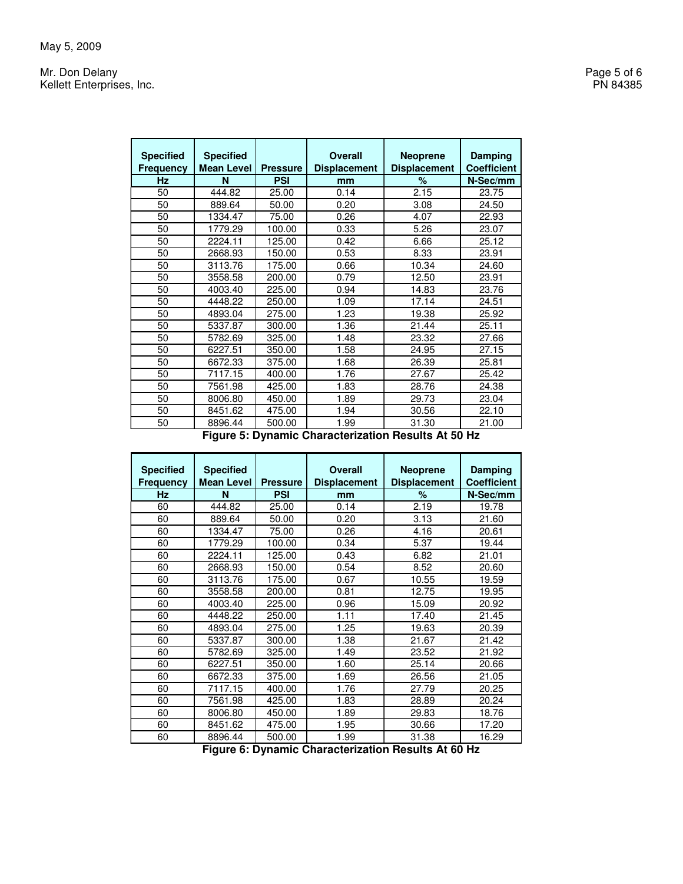Mr. Don Delany Page 5 of 6<br>
Mr. Don Delany Page 5 of 6<br>
Page 5 of 6 Kellett Enterprises, Inc.

> **Specified Frequency Specified Mean Level Pressure Overall Displacement Neoprene Displacement Damping Coefficient Hz N PSI mm % N-Sec/mm** 50 444.82 25.00 0.14 2.15 23.75 50 889.64 50.00 0.20 3.08 24.50 50 1334.47 75.00 0.26 4.07 22.93 50 1779.29 100.00 0.33 5.26 23.07 50 2224.11 125.00 0.42 6.66 25.12 50 2668.93 150.00 0.53 8.33 23.91 50 3113.76 175.00 0.66 10.34 24.60 50 3558.58 200.00 0.79 12.50 23.91 50 4003.40 225.00 0.94<br>50 4448.22 250.00 1.09 50 4448.22 250.00 1.09 17.14 24.51 50 4893.04 275.00 1.23<br>50 5337.87 300.00 1.36 50 5337.87 300.00 1.36 21.44 25.11 50 5782.69 325.00 1.48 23.32 27.66 50 6227.51 350.00 1.58 24.95 27.15 50 6672.33 375.00 1.68 26.39 25.81 50 7117.15 400.00 1.76 27.67 25.42 50 7561.98 425.00 1.83 28.76 24.38 50 8006.80 450.00 1.89 29.73 23.04 50 8451.62 475.00 1.94 30.56 22.10 50 8896.44 500.00 1.99 31.30 21.00

> > **Figure 5: Dynamic Characterization Results At 50 Hz**

| <b>Specified</b><br><b>Frequency</b> | <b>Specified</b><br><b>Mean Level</b> | <b>Pressure</b> | <b>Overall</b><br><b>Displacement</b> | <b>Neoprene</b><br><b>Displacement</b> | Damping<br><b>Coefficient</b> |
|--------------------------------------|---------------------------------------|-----------------|---------------------------------------|----------------------------------------|-------------------------------|
| <b>Hz</b>                            | N                                     | <b>PSI</b>      | mm                                    | %                                      | N-Sec/mm                      |
| 60                                   | 444.82                                | 25.00           | 0.14                                  | 2.19                                   | 19.78                         |
| 60                                   | 889.64                                | 50.00           | 0.20                                  | 3.13                                   | 21.60                         |
| 60                                   | 1334.47                               | 75.00           | 0.26                                  | 4.16                                   | 20.61                         |
| 60                                   | 1779.29                               | 100.00          | 0.34                                  | 5.37                                   | 19.44                         |
| 60                                   | 2224.11                               | 125.00          | 0.43                                  | 6.82                                   | 21.01                         |
| 60                                   | 2668.93                               | 150.00          | 0.54                                  | 8.52                                   | 20.60                         |
| 60                                   | 3113.76                               | 175.00          | 0.67                                  | 10.55                                  | 19.59                         |
| 60                                   | 3558.58                               | 200.00          | 0.81                                  | 12.75                                  | 19.95                         |
| 60                                   | 4003.40                               | 225.00          | 0.96                                  | 15.09                                  | 20.92                         |
| 60                                   | 4448.22                               | 250.00          | 1.11                                  | 17.40                                  | 21.45                         |
| 60                                   | 4893.04                               | 275.00          | 1.25                                  | 19.63                                  | 20.39                         |
| 60                                   | 5337.87                               | 300.00          | 1.38                                  | 21.67                                  | 21.42                         |
| 60                                   | 5782.69                               | 325.00          | 1.49                                  | 23.52                                  | 21.92                         |
| 60                                   | 6227.51                               | 350.00          | 1.60                                  | 25.14                                  | 20.66                         |
| 60                                   | 6672.33                               | 375.00          | 1.69                                  | 26.56                                  | 21.05                         |
| 60                                   | 7117.15                               | 400.00          | 1.76                                  | 27.79                                  | 20.25                         |
| 60                                   | 7561.98                               | 425.00          | 1.83                                  | 28.89                                  | 20.24                         |
| 60                                   | 8006.80                               | 450.00          | 1.89                                  | 29.83                                  | 18.76                         |
| 60                                   | 8451.62                               | 475.00          | 1.95                                  | 30.66                                  | 17.20                         |
| 60                                   | 8896.44                               | 500.00          | 1.99                                  | 31.38                                  | 16.29                         |

**Figure 6: Dynamic Characterization Results At 60 Hz**